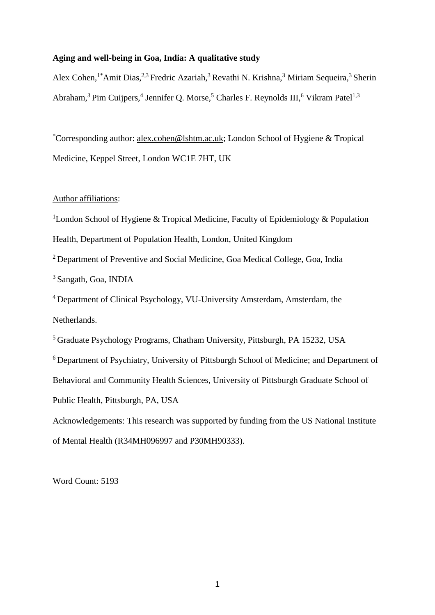# **Aging and well-being in Goa, India: A qualitative study**

Alex Cohen, <sup>1\*</sup>Amit Dias, <sup>2,3</sup> Fredric Azariah, <sup>3</sup> Revathi N. Krishna, <sup>3</sup> Miriam Sequeira, <sup>3</sup> Sherin Abraham,<sup>3</sup> Pim Cuijpers,<sup>4</sup> Jennifer Q. Morse,<sup>5</sup> Charles F. Reynolds III,<sup>6</sup> Vikram Patel<sup>1,3</sup>

\*Corresponding author: [alex.cohen@lshtm.ac.uk;](mailto:alex.cohen@lshtm.ac.uk) London School of Hygiene & Tropical Medicine, Keppel Street, London WC1E 7HT, UK

# Author affiliations:

<sup>1</sup>London School of Hygiene & Tropical Medicine, Faculty of Epidemiology & Population Health, Department of Population Health, London, United Kingdom <sup>2</sup> Department of Preventive and Social Medicine, Goa Medical College, Goa, India <sup>3</sup> Sangath, Goa, INDIA <sup>4</sup>Department of Clinical Psychology, VU-University Amsterdam, Amsterdam, the Netherlands. <sup>5</sup>Graduate Psychology Programs, Chatham University, Pittsburgh, PA 15232, USA <sup>6</sup> Department of Psychiatry, University of Pittsburgh School of Medicine; and Department of Behavioral and Community Health Sciences, University of Pittsburgh Graduate School of Public Health, Pittsburgh, PA, USA Acknowledgements: This research was supported by funding from the US National Institute

of Mental Health (R34MH096997 and P30MH90333).

Word Count: 5193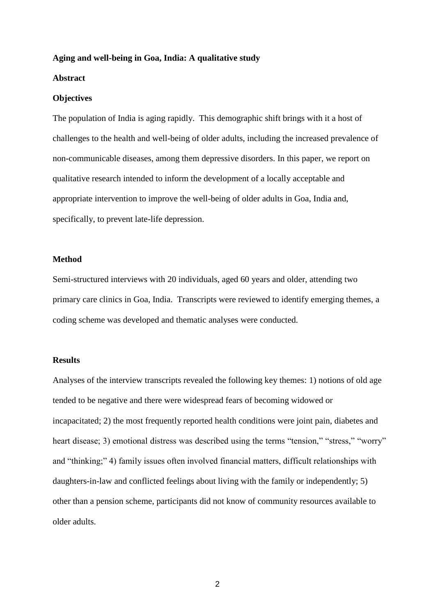#### **Aging and well-being in Goa, India: A qualitative study**

# **Abstract**

#### **Objectives**

The population of India is aging rapidly. This demographic shift brings with it a host of challenges to the health and well-being of older adults, including the increased prevalence of non-communicable diseases, among them depressive disorders. In this paper, we report on qualitative research intended to inform the development of a locally acceptable and appropriate intervention to improve the well-being of older adults in Goa, India and, specifically, to prevent late-life depression.

# **Method**

Semi-structured interviews with 20 individuals, aged 60 years and older, attending two primary care clinics in Goa, India. Transcripts were reviewed to identify emerging themes, a coding scheme was developed and thematic analyses were conducted.

# **Results**

Analyses of the interview transcripts revealed the following key themes: 1) notions of old age tended to be negative and there were widespread fears of becoming widowed or incapacitated; 2) the most frequently reported health conditions were joint pain, diabetes and heart disease; 3) emotional distress was described using the terms "tension," "stress," "worry" and "thinking;" 4) family issues often involved financial matters, difficult relationships with daughters-in-law and conflicted feelings about living with the family or independently; 5) other than a pension scheme, participants did not know of community resources available to older adults.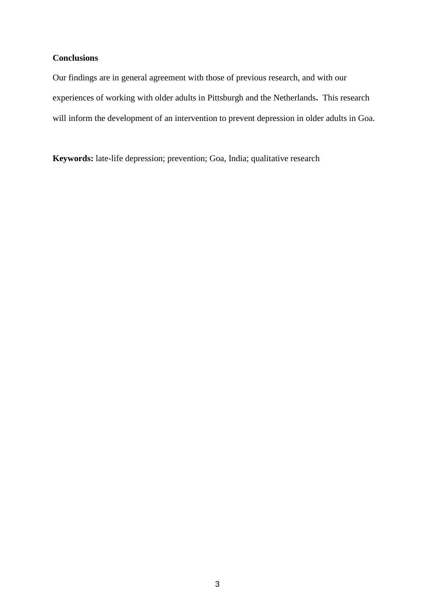# **Conclusions**

Our findings are in general agreement with those of previous research, and with our experiences of working with older adults in Pittsburgh and the Netherlands**.** This research will inform the development of an intervention to prevent depression in older adults in Goa.

**Keywords:** late-life depression; prevention; Goa, India; qualitative research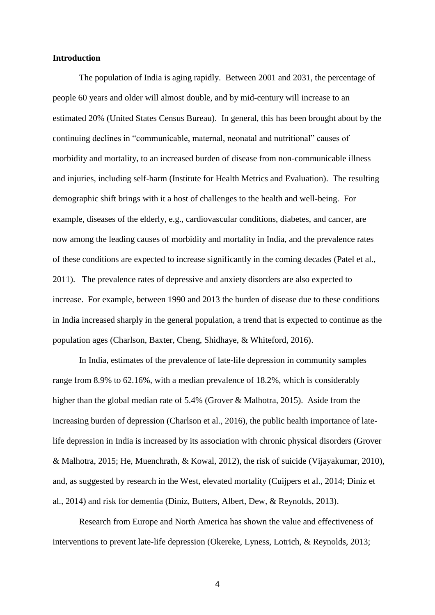### **Introduction**

The population of India is aging rapidly. Between 2001 and 2031, the percentage of people 60 years and older will almost double, and by mid-century will increase to an estimated 20% (United States Census Bureau). In general, this has been brought about by the continuing declines in "communicable, maternal, neonatal and nutritional" causes of morbidity and mortality, to an increased burden of disease from non-communicable illness and injuries, including self-harm (Institute for Health Metrics and Evaluation). The resulting demographic shift brings with it a host of challenges to the health and well-being. For example, diseases of the elderly, e.g., cardiovascular conditions, diabetes, and cancer, are now among the leading causes of morbidity and mortality in India, and the prevalence rates of these conditions are expected to increase significantly in the coming decades (Patel et al., 2011). The prevalence rates of depressive and anxiety disorders are also expected to increase. For example, between 1990 and 2013 the burden of disease due to these conditions in India increased sharply in the general population, a trend that is expected to continue as the population ages (Charlson, Baxter, Cheng, Shidhaye, & Whiteford, 2016).

In India, estimates of the prevalence of late-life depression in community samples range from 8.9% to 62.16%, with a median prevalence of 18.2%, which is considerably higher than the global median rate of 5.4% (Grover & Malhotra, 2015). Aside from the increasing burden of depression (Charlson et al., 2016), the public health importance of latelife depression in India is increased by its association with chronic physical disorders (Grover & Malhotra, 2015; He, Muenchrath, & Kowal, 2012), the risk of suicide (Vijayakumar, 2010), and, as suggested by research in the West, elevated mortality (Cuijpers et al., 2014; Diniz et al., 2014) and risk for dementia (Diniz, Butters, Albert, Dew, & Reynolds, 2013).

Research from Europe and North America has shown the value and effectiveness of interventions to prevent late-life depression (Okereke, Lyness, Lotrich, & Reynolds, 2013;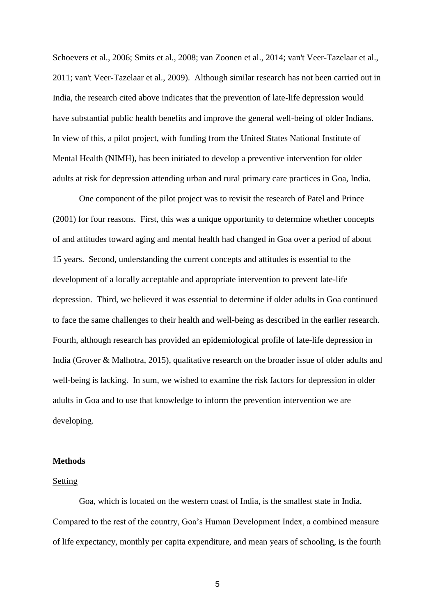Schoevers et al., 2006; Smits et al., 2008; van Zoonen et al., 2014; van't Veer-Tazelaar et al., 2011; van't Veer-Tazelaar et al., 2009). Although similar research has not been carried out in India, the research cited above indicates that the prevention of late-life depression would have substantial public health benefits and improve the general well-being of older Indians. In view of this, a pilot project, with funding from the United States National Institute of Mental Health (NIMH), has been initiated to develop a preventive intervention for older adults at risk for depression attending urban and rural primary care practices in Goa, India.

One component of the pilot project was to revisit the research of Patel and Prince (2001) for four reasons. First, this was a unique opportunity to determine whether concepts of and attitudes toward aging and mental health had changed in Goa over a period of about 15 years. Second, understanding the current concepts and attitudes is essential to the development of a locally acceptable and appropriate intervention to prevent late-life depression. Third, we believed it was essential to determine if older adults in Goa continued to face the same challenges to their health and well-being as described in the earlier research. Fourth, although research has provided an epidemiological profile of late-life depression in India (Grover & Malhotra, 2015), qualitative research on the broader issue of older adults and well-being is lacking. In sum, we wished to examine the risk factors for depression in older adults in Goa and to use that knowledge to inform the prevention intervention we are developing.

#### **Methods**

#### Setting

Goa, which is located on the western coast of India, is the smallest state in India. Compared to the rest of the country, Goa's Human Development Index, a combined measure of life expectancy, monthly per capita expenditure, and mean years of schooling, is the fourth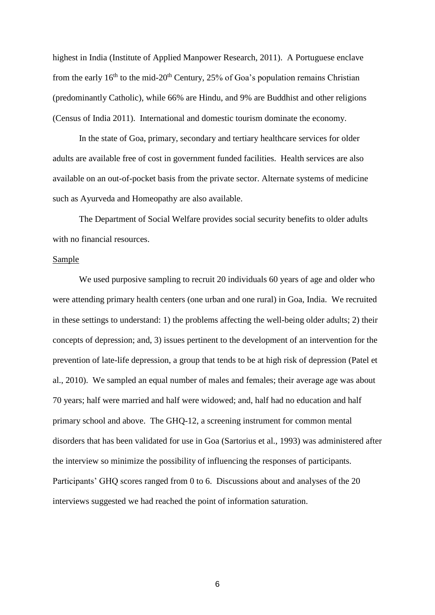highest in India (Institute of Applied Manpower Research, 2011). A Portuguese enclave from the early  $16<sup>th</sup>$  to the mid-20<sup>th</sup> Century, 25% of Goa's population remains Christian (predominantly Catholic), while 66% are Hindu, and 9% are Buddhist and other religions (Census of India 2011). International and domestic tourism dominate the economy.

In the state of Goa, primary, secondary and tertiary healthcare services for older adults are available free of cost in government funded facilities. Health services are also available on an out-of-pocket basis from the private sector. Alternate systems of medicine such as Ayurveda and Homeopathy are also available.

The Department of Social Welfare provides social security benefits to older adults with no financial resources.

#### **Sample**

We used purposive sampling to recruit 20 individuals 60 years of age and older who were attending primary health centers (one urban and one rural) in Goa, India. We recruited in these settings to understand: 1) the problems affecting the well-being older adults; 2) their concepts of depression; and, 3) issues pertinent to the development of an intervention for the prevention of late-life depression, a group that tends to be at high risk of depression (Patel et al., 2010). We sampled an equal number of males and females; their average age was about 70 years; half were married and half were widowed; and, half had no education and half primary school and above. The GHQ-12, a screening instrument for common mental disorders that has been validated for use in Goa (Sartorius et al., 1993) was administered after the interview so minimize the possibility of influencing the responses of participants. Participants' GHQ scores ranged from 0 to 6. Discussions about and analyses of the 20 interviews suggested we had reached the point of information saturation.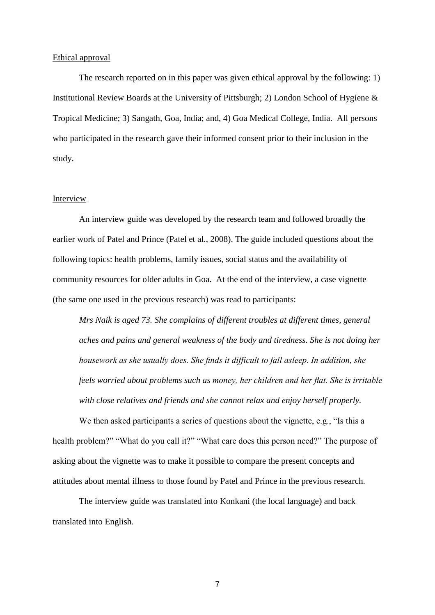#### Ethical approval

The research reported on in this paper was given ethical approval by the following: 1) Institutional Review Boards at the University of Pittsburgh; 2) London School of Hygiene & Tropical Medicine; 3) Sangath, Goa, India; and, 4) Goa Medical College, India. All persons who participated in the research gave their informed consent prior to their inclusion in the study.

### Interview

An interview guide was developed by the research team and followed broadly the earlier work of Patel and Prince (Patel et al., 2008). The guide included questions about the following topics: health problems, family issues, social status and the availability of community resources for older adults in Goa. At the end of the interview, a case vignette (the same one used in the previous research) was read to participants:

*Mrs Naik is aged 73. She complains of different troubles at different times, general aches and pains and general weakness of the body and tiredness. She is not doing her housework as she usually does. She finds it difficult to fall asleep. In addition, she feels worried about problems such as money, her children and her flat. She is irritable with close relatives and friends and she cannot relax and enjoy herself properly.*

We then asked participants a series of questions about the vignette, e.g., "Is this a health problem?" "What do you call it?" "What care does this person need?" The purpose of asking about the vignette was to make it possible to compare the present concepts and attitudes about mental illness to those found by Patel and Prince in the previous research.

The interview guide was translated into Konkani (the local language) and back translated into English.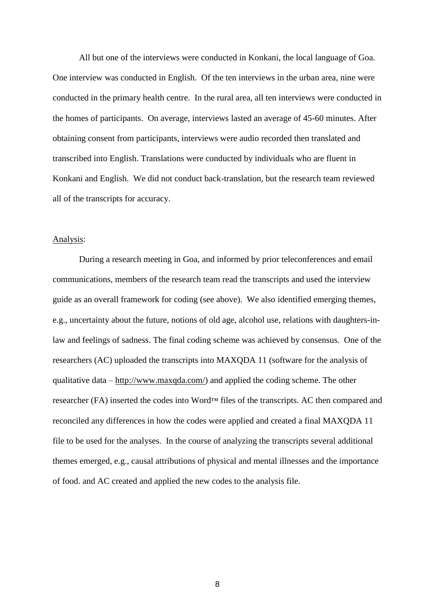All but one of the interviews were conducted in Konkani, the local language of Goa. One interview was conducted in English. Of the ten interviews in the urban area, nine were conducted in the primary health centre. In the rural area, all ten interviews were conducted in the homes of participants. On average, interviews lasted an average of 45-60 minutes. After obtaining consent from participants, interviews were audio recorded then translated and transcribed into English. Translations were conducted by individuals who are fluent in Konkani and English. We did not conduct back-translation, but the research team reviewed all of the transcripts for accuracy.

#### Analysis:

During a research meeting in Goa, and informed by prior teleconferences and email communications, members of the research team read the transcripts and used the interview guide as an overall framework for coding (see above). We also identified emerging themes, e.g., uncertainty about the future, notions of old age, alcohol use, relations with daughters-inlaw and feelings of sadness. The final coding scheme was achieved by consensus. One of the researchers (AC) uploaded the transcripts into MAXQDA 11 (software for the analysis of qualitative data – [http://www.maxqda.com/\)](http://www.maxqda.com/) and applied the coding scheme. The other researcher (FA) inserted the codes into Word™ files of the transcripts. AC then compared and reconciled any differences in how the codes were applied and created a final MAXQDA 11 file to be used for the analyses. In the course of analyzing the transcripts several additional themes emerged, e.g., causal attributions of physical and mental illnesses and the importance of food. and AC created and applied the new codes to the analysis file.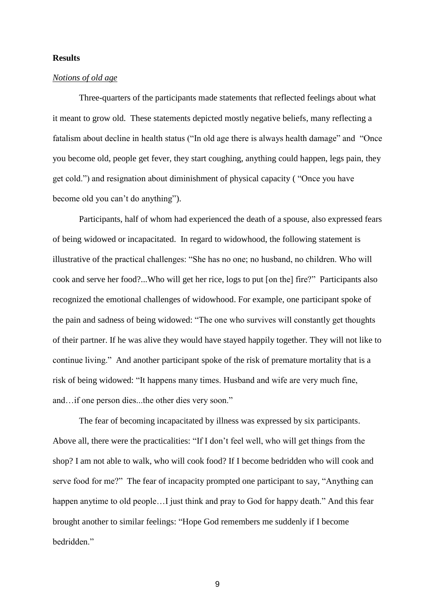### **Results**

### *Notions of old age*

Three-quarters of the participants made statements that reflected feelings about what it meant to grow old. These statements depicted mostly negative beliefs, many reflecting a fatalism about decline in health status ("In old age there is always health damage" and "Once you become old, people get fever, they start coughing, anything could happen, legs pain, they get cold.") and resignation about diminishment of physical capacity ( "Once you have become old you can't do anything").

Participants, half of whom had experienced the death of a spouse, also expressed fears of being widowed or incapacitated. In regard to widowhood, the following statement is illustrative of the practical challenges: "She has no one; no husband, no children. Who will cook and serve her food?...Who will get her rice, logs to put [on the] fire?" Participants also recognized the emotional challenges of widowhood. For example, one participant spoke of the pain and sadness of being widowed: "The one who survives will constantly get thoughts of their partner. If he was alive they would have stayed happily together. They will not like to continue living." And another participant spoke of the risk of premature mortality that is a risk of being widowed: "It happens many times. Husband and wife are very much fine, and…if one person dies...the other dies very soon."

The fear of becoming incapacitated by illness was expressed by six participants. Above all, there were the practicalities: "If I don't feel well, who will get things from the shop? I am not able to walk, who will cook food? If I become bedridden who will cook and serve food for me?" The fear of incapacity prompted one participant to say, "Anything can happen anytime to old people...I just think and pray to God for happy death." And this fear brought another to similar feelings: "Hope God remembers me suddenly if I become bedridden<sup>"</sup>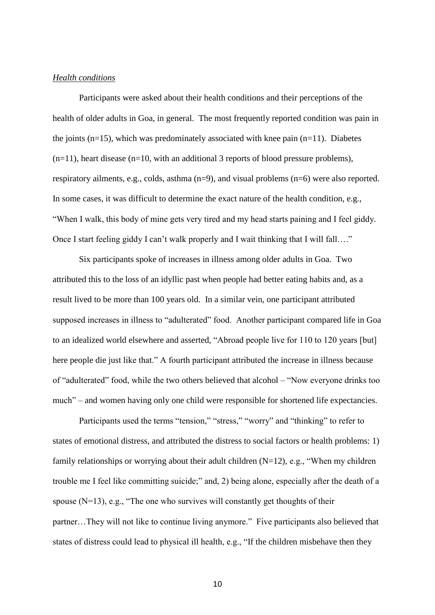### *Health conditions*

Participants were asked about their health conditions and their perceptions of the health of older adults in Goa, in general. The most frequently reported condition was pain in the joints  $(n=15)$ , which was predominately associated with knee pain  $(n=11)$ . Diabetes  $(n=11)$ , heart disease  $(n=10)$ , with an additional 3 reports of blood pressure problems), respiratory ailments, e.g., colds, asthma (n=9), and visual problems (n=6) were also reported. In some cases, it was difficult to determine the exact nature of the health condition, e.g., "When I walk, this body of mine gets very tired and my head starts paining and I feel giddy. Once I start feeling giddy I can't walk properly and I wait thinking that I will fall…."

Six participants spoke of increases in illness among older adults in Goa. Two attributed this to the loss of an idyllic past when people had better eating habits and, as a result lived to be more than 100 years old. In a similar vein, one participant attributed supposed increases in illness to "adulterated" food. Another participant compared life in Goa to an idealized world elsewhere and asserted, "Abroad people live for 110 to 120 years [but] here people die just like that." A fourth participant attributed the increase in illness because of "adulterated" food, while the two others believed that alcohol – "Now everyone drinks too much" – and women having only one child were responsible for shortened life expectancies.

Participants used the terms "tension," "stress," "worry" and "thinking" to refer to states of emotional distress, and attributed the distress to social factors or health problems: 1) family relationships or worrying about their adult children  $(N=12)$ , e.g., "When my children trouble me I feel like committing suicide;" and, 2) being alone, especially after the death of a spouse  $(N=13)$ , e.g., "The one who survives will constantly get thoughts of their partner…They will not like to continue living anymore." Five participants also believed that states of distress could lead to physical ill health, e.g., "If the children misbehave then they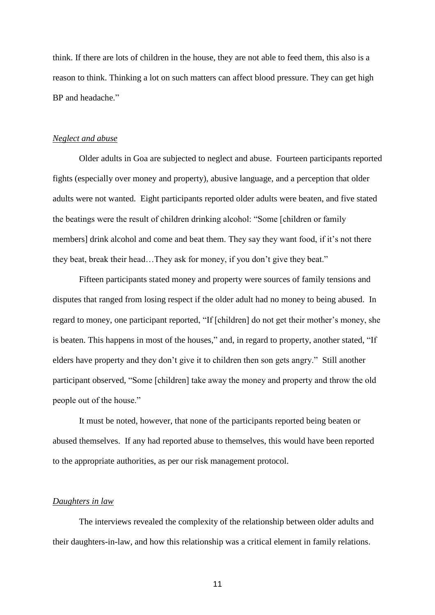think. If there are lots of children in the house, they are not able to feed them, this also is a reason to think. Thinking a lot on such matters can affect blood pressure. They can get high BP and headache."

#### *Neglect and abuse*

Older adults in Goa are subjected to neglect and abuse. Fourteen participants reported fights (especially over money and property), abusive language, and a perception that older adults were not wanted. Eight participants reported older adults were beaten, and five stated the beatings were the result of children drinking alcohol: "Some [children or family members] drink alcohol and come and beat them. They say they want food, if it's not there they beat, break their head…They ask for money, if you don't give they beat."

Fifteen participants stated money and property were sources of family tensions and disputes that ranged from losing respect if the older adult had no money to being abused. In regard to money, one participant reported, "If [children] do not get their mother's money, she is beaten. This happens in most of the houses," and, in regard to property, another stated, "If elders have property and they don't give it to children then son gets angry." Still another participant observed, "Some [children] take away the money and property and throw the old people out of the house."

It must be noted, however, that none of the participants reported being beaten or abused themselves. If any had reported abuse to themselves, this would have been reported to the appropriate authorities, as per our risk management protocol.

# *Daughters in law*

The interviews revealed the complexity of the relationship between older adults and their daughters-in-law, and how this relationship was a critical element in family relations.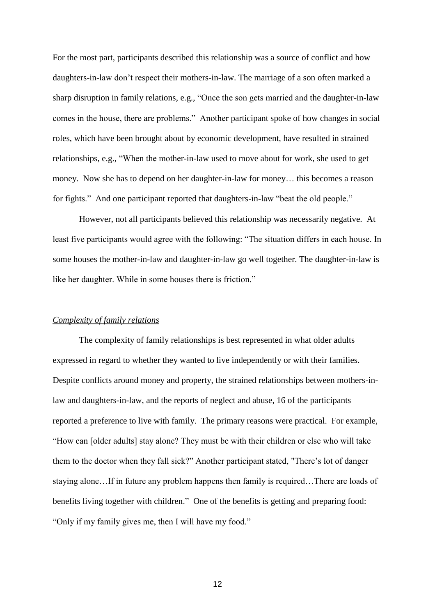For the most part, participants described this relationship was a source of conflict and how daughters-in-law don't respect their mothers-in-law. The marriage of a son often marked a sharp disruption in family relations, e.g., "Once the son gets married and the daughter-in-law comes in the house, there are problems." Another participant spoke of how changes in social roles, which have been brought about by economic development, have resulted in strained relationships, e.g., "When the mother-in-law used to move about for work, she used to get money. Now she has to depend on her daughter-in-law for money… this becomes a reason for fights." And one participant reported that daughters-in-law "beat the old people."

However, not all participants believed this relationship was necessarily negative. At least five participants would agree with the following: "The situation differs in each house. In some houses the mother-in-law and daughter-in-law go well together. The daughter-in-law is like her daughter. While in some houses there is friction."

### *Complexity of family relations*

The complexity of family relationships is best represented in what older adults expressed in regard to whether they wanted to live independently or with their families. Despite conflicts around money and property, the strained relationships between mothers-inlaw and daughters-in-law, and the reports of neglect and abuse, 16 of the participants reported a preference to live with family. The primary reasons were practical. For example, "How can [older adults] stay alone? They must be with their children or else who will take them to the doctor when they fall sick?" Another participant stated, "There's lot of danger staying alone…If in future any problem happens then family is required…There are loads of benefits living together with children." One of the benefits is getting and preparing food: "Only if my family gives me, then I will have my food."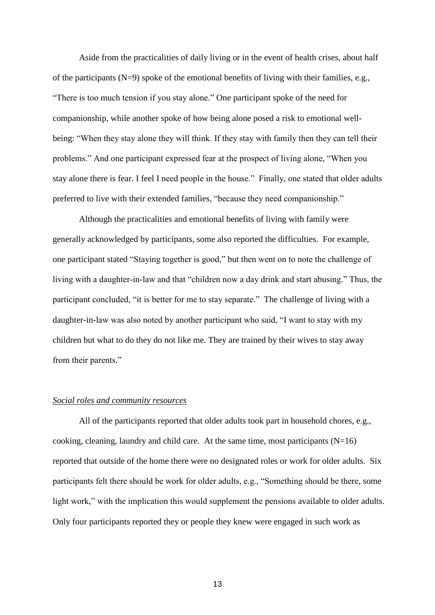Aside from the practicalities of daily living or in the event of health crises, about half of the participants  $(N=9)$  spoke of the emotional benefits of living with their families, e.g., "There is too much tension if you stay alone." One participant spoke of the need for companionship, while another spoke of how being alone posed a risk to emotional wellbeing: "When they stay alone they will think. If they stay with family then they can tell their problems." And one participant expressed fear at the prospect of living alone, "When you stay alone there is fear. I feel I need people in the house." Finally, one stated that older adults preferred to live with their extended families, "because they need companionship."

Although the practicalities and emotional benefits of living with family were generally acknowledged by participants, some also reported the difficulties. For example, one participant stated "Staying together is good," but then went on to note the challenge of living with a daughter-in-law and that "children now a day drink and start abusing." Thus, the participant concluded, "it is better for me to stay separate." The challenge of living with a daughter-in-law was also noted by another participant who said, "I want to stay with my children but what to do they do not like me. They are trained by their wives to stay away from their parents."

### *Social roles and community resources*

All of the participants reported that older adults took part in household chores, e.g., cooking, cleaning, laundry and child care. At the same time, most participants  $(N=16)$ reported that outside of the home there were no designated roles or work for older adults. Six participants felt there should be work for older adults, e.g., "Something should be there, some light work," with the implication this would supplement the pensions available to older adults. Only four participants reported they or people they knew were engaged in such work as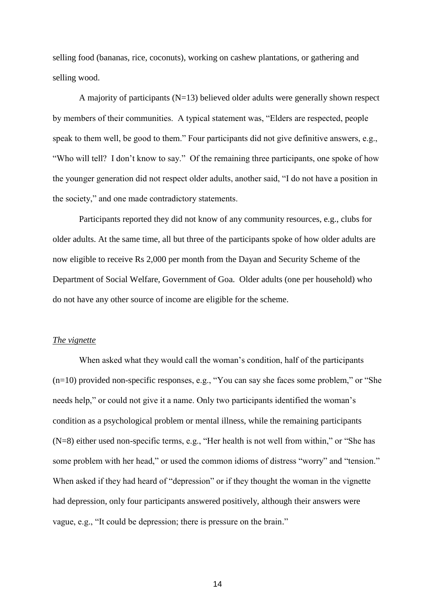selling food (bananas, rice, coconuts), working on cashew plantations, or gathering and selling wood.

A majority of participants  $(N=13)$  believed older adults were generally shown respect by members of their communities. A typical statement was, "Elders are respected, people speak to them well, be good to them." Four participants did not give definitive answers, e.g., "Who will tell? I don't know to say." Of the remaining three participants, one spoke of how the younger generation did not respect older adults, another said, "I do not have a position in the society," and one made contradictory statements.

Participants reported they did not know of any community resources, e.g., clubs for older adults. At the same time, all but three of the participants spoke of how older adults are now eligible to receive Rs 2,000 per month from the Dayan and Security Scheme of the Department of Social Welfare, Government of Goa. Older adults (one per household) who do not have any other source of income are eligible for the scheme.

# *The vignette*

When asked what they would call the woman's condition, half of the participants (n=10) provided non-specific responses, e.g., "You can say she faces some problem," or "She needs help," or could not give it a name. Only two participants identified the woman's condition as a psychological problem or mental illness, while the remaining participants (N=8) either used non-specific terms, e.g., "Her health is not well from within," or "She has some problem with her head," or used the common idioms of distress "worry" and "tension." When asked if they had heard of "depression" or if they thought the woman in the vignette had depression, only four participants answered positively, although their answers were vague, e.g., "It could be depression; there is pressure on the brain."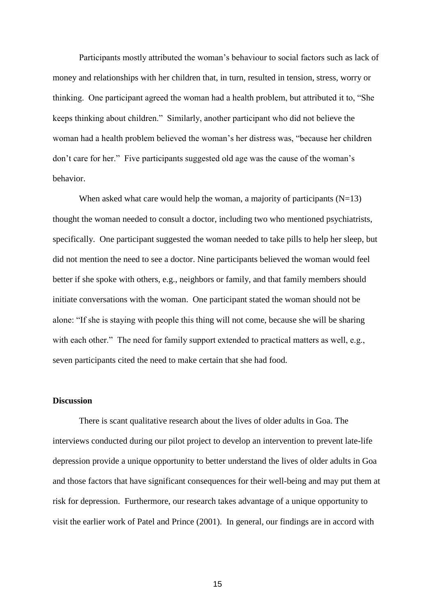Participants mostly attributed the woman's behaviour to social factors such as lack of money and relationships with her children that, in turn, resulted in tension, stress, worry or thinking. One participant agreed the woman had a health problem, but attributed it to, "She keeps thinking about children." Similarly, another participant who did not believe the woman had a health problem believed the woman's her distress was, "because her children don't care for her." Five participants suggested old age was the cause of the woman's behavior.

When asked what care would help the woman, a majority of participants  $(N=13)$ thought the woman needed to consult a doctor, including two who mentioned psychiatrists, specifically. One participant suggested the woman needed to take pills to help her sleep, but did not mention the need to see a doctor. Nine participants believed the woman would feel better if she spoke with others, e.g., neighbors or family, and that family members should initiate conversations with the woman. One participant stated the woman should not be alone: "If she is staying with people this thing will not come, because she will be sharing with each other." The need for family support extended to practical matters as well, e.g., seven participants cited the need to make certain that she had food.

# **Discussion**

There is scant qualitative research about the lives of older adults in Goa. The interviews conducted during our pilot project to develop an intervention to prevent late-life depression provide a unique opportunity to better understand the lives of older adults in Goa and those factors that have significant consequences for their well-being and may put them at risk for depression. Furthermore, our research takes advantage of a unique opportunity to visit the earlier work of Patel and Prince (2001). In general, our findings are in accord with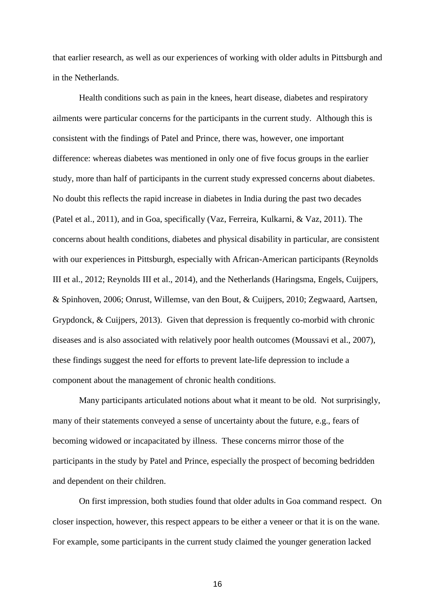that earlier research, as well as our experiences of working with older adults in Pittsburgh and in the Netherlands.

Health conditions such as pain in the knees, heart disease, diabetes and respiratory ailments were particular concerns for the participants in the current study. Although this is consistent with the findings of Patel and Prince, there was, however, one important difference: whereas diabetes was mentioned in only one of five focus groups in the earlier study, more than half of participants in the current study expressed concerns about diabetes. No doubt this reflects the rapid increase in diabetes in India during the past two decades (Patel et al., 2011), and in Goa, specifically (Vaz, Ferreira, Kulkarni, & Vaz, 2011). The concerns about health conditions, diabetes and physical disability in particular, are consistent with our experiences in Pittsburgh, especially with African-American participants (Reynolds III et al., 2012; Reynolds III et al., 2014), and the Netherlands (Haringsma, Engels, Cuijpers, & Spinhoven, 2006; Onrust, Willemse, van den Bout, & Cuijpers, 2010; Zegwaard, Aartsen, Grypdonck, & Cuijpers, 2013). Given that depression is frequently co-morbid with chronic diseases and is also associated with relatively poor health outcomes (Moussavi et al., 2007), these findings suggest the need for efforts to prevent late-life depression to include a component about the management of chronic health conditions.

Many participants articulated notions about what it meant to be old. Not surprisingly, many of their statements conveyed a sense of uncertainty about the future, e.g., fears of becoming widowed or incapacitated by illness. These concerns mirror those of the participants in the study by Patel and Prince, especially the prospect of becoming bedridden and dependent on their children.

On first impression, both studies found that older adults in Goa command respect. On closer inspection, however, this respect appears to be either a veneer or that it is on the wane. For example, some participants in the current study claimed the younger generation lacked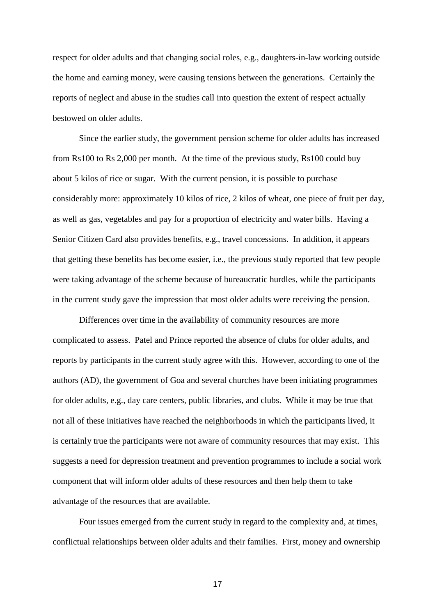respect for older adults and that changing social roles, e.g., daughters-in-law working outside the home and earning money, were causing tensions between the generations. Certainly the reports of neglect and abuse in the studies call into question the extent of respect actually bestowed on older adults.

Since the earlier study, the government pension scheme for older adults has increased from Rs100 to Rs 2,000 per month. At the time of the previous study, Rs100 could buy about 5 kilos of rice or sugar. With the current pension, it is possible to purchase considerably more: approximately 10 kilos of rice, 2 kilos of wheat, one piece of fruit per day, as well as gas, vegetables and pay for a proportion of electricity and water bills. Having a Senior Citizen Card also provides benefits, e.g., travel concessions. In addition, it appears that getting these benefits has become easier, i.e., the previous study reported that few people were taking advantage of the scheme because of bureaucratic hurdles, while the participants in the current study gave the impression that most older adults were receiving the pension.

Differences over time in the availability of community resources are more complicated to assess. Patel and Prince reported the absence of clubs for older adults, and reports by participants in the current study agree with this. However, according to one of the authors (AD), the government of Goa and several churches have been initiating programmes for older adults, e.g., day care centers, public libraries, and clubs. While it may be true that not all of these initiatives have reached the neighborhoods in which the participants lived, it is certainly true the participants were not aware of community resources that may exist. This suggests a need for depression treatment and prevention programmes to include a social work component that will inform older adults of these resources and then help them to take advantage of the resources that are available.

Four issues emerged from the current study in regard to the complexity and, at times, conflictual relationships between older adults and their families. First, money and ownership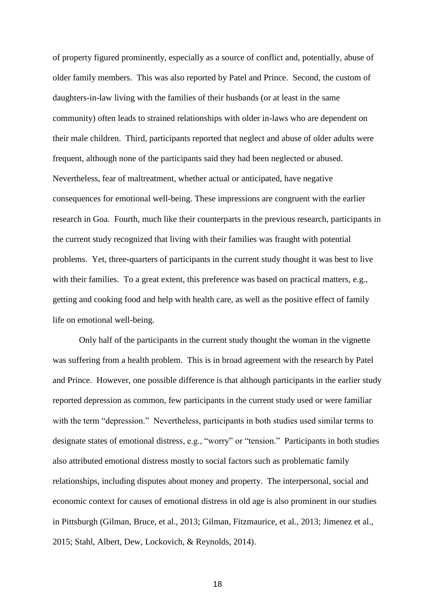of property figured prominently, especially as a source of conflict and, potentially, abuse of older family members. This was also reported by Patel and Prince. Second, the custom of daughters-in-law living with the families of their husbands (or at least in the same community) often leads to strained relationships with older in-laws who are dependent on their male children. Third, participants reported that neglect and abuse of older adults were frequent, although none of the participants said they had been neglected or abused. Nevertheless, fear of maltreatment, whether actual or anticipated, have negative consequences for emotional well-being. These impressions are congruent with the earlier research in Goa. Fourth, much like their counterparts in the previous research, participants in the current study recognized that living with their families was fraught with potential problems. Yet, three-quarters of participants in the current study thought it was best to live with their families. To a great extent, this preference was based on practical matters, e.g., getting and cooking food and help with health care, as well as the positive effect of family life on emotional well-being.

Only half of the participants in the current study thought the woman in the vignette was suffering from a health problem. This is in broad agreement with the research by Patel and Prince. However, one possible difference is that although participants in the earlier study reported depression as common, few participants in the current study used or were familiar with the term "depression." Nevertheless, participants in both studies used similar terms to designate states of emotional distress, e.g., "worry" or "tension." Participants in both studies also attributed emotional distress mostly to social factors such as problematic family relationships, including disputes about money and property. The interpersonal, social and economic context for causes of emotional distress in old age is also prominent in our studies in Pittsburgh (Gilman, Bruce, et al., 2013; Gilman, Fitzmaurice, et al., 2013; Jimenez et al., 2015; Stahl, Albert, Dew, Lockovich, & Reynolds, 2014).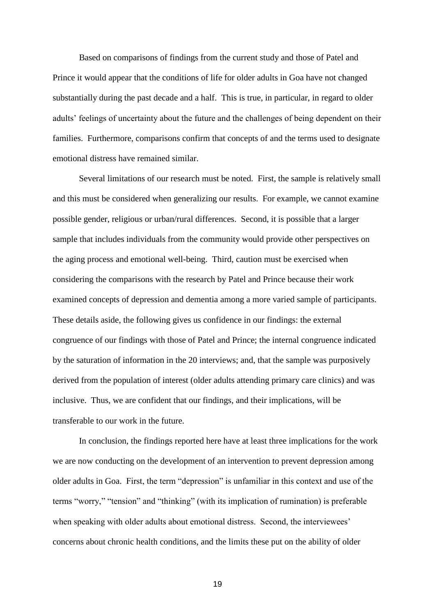Based on comparisons of findings from the current study and those of Patel and Prince it would appear that the conditions of life for older adults in Goa have not changed substantially during the past decade and a half. This is true, in particular, in regard to older adults' feelings of uncertainty about the future and the challenges of being dependent on their families. Furthermore, comparisons confirm that concepts of and the terms used to designate emotional distress have remained similar.

Several limitations of our research must be noted. First, the sample is relatively small and this must be considered when generalizing our results. For example, we cannot examine possible gender, religious or urban/rural differences. Second, it is possible that a larger sample that includes individuals from the community would provide other perspectives on the aging process and emotional well-being. Third, caution must be exercised when considering the comparisons with the research by Patel and Prince because their work examined concepts of depression and dementia among a more varied sample of participants. These details aside, the following gives us confidence in our findings: the external congruence of our findings with those of Patel and Prince; the internal congruence indicated by the saturation of information in the 20 interviews; and, that the sample was purposively derived from the population of interest (older adults attending primary care clinics) and was inclusive. Thus, we are confident that our findings, and their implications, will be transferable to our work in the future.

In conclusion, the findings reported here have at least three implications for the work we are now conducting on the development of an intervention to prevent depression among older adults in Goa. First, the term "depression" is unfamiliar in this context and use of the terms "worry," "tension" and "thinking" (with its implication of rumination) is preferable when speaking with older adults about emotional distress. Second, the interviewees' concerns about chronic health conditions, and the limits these put on the ability of older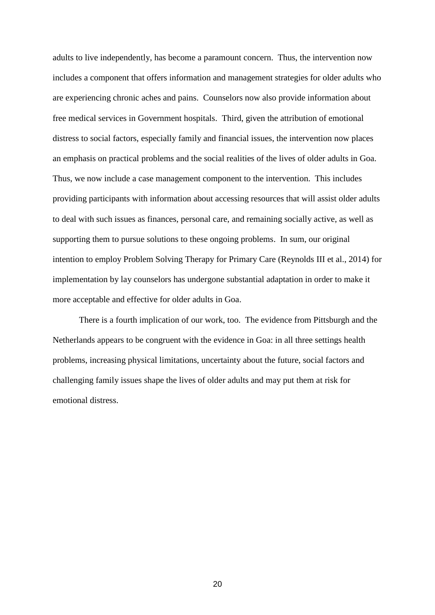adults to live independently, has become a paramount concern. Thus, the intervention now includes a component that offers information and management strategies for older adults who are experiencing chronic aches and pains. Counselors now also provide information about free medical services in Government hospitals. Third, given the attribution of emotional distress to social factors, especially family and financial issues, the intervention now places an emphasis on practical problems and the social realities of the lives of older adults in Goa. Thus, we now include a case management component to the intervention. This includes providing participants with information about accessing resources that will assist older adults to deal with such issues as finances, personal care, and remaining socially active, as well as supporting them to pursue solutions to these ongoing problems. In sum, our original intention to employ Problem Solving Therapy for Primary Care (Reynolds III et al., 2014) for implementation by lay counselors has undergone substantial adaptation in order to make it more acceptable and effective for older adults in Goa.

There is a fourth implication of our work, too. The evidence from Pittsburgh and the Netherlands appears to be congruent with the evidence in Goa: in all three settings health problems, increasing physical limitations, uncertainty about the future, social factors and challenging family issues shape the lives of older adults and may put them at risk for emotional distress.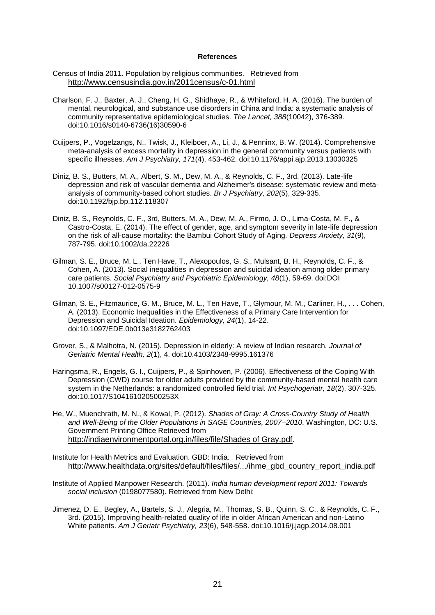#### **References**

- Census of India 2011. Population by religious communities. Retrieved from <http://www.censusindia.gov.in/2011census/c-01.html>
- Charlson, F. J., Baxter, A. J., Cheng, H. G., Shidhaye, R., & Whiteford, H. A. (2016). The burden of mental, neurological, and substance use disorders in China and India: a systematic analysis of community representative epidemiological studies. *The Lancet, 388*(10042), 376-389. doi:10.1016/s0140-6736(16)30590-6
- Cuijpers, P., Vogelzangs, N., Twisk, J., Kleiboer, A., Li, J., & Penninx, B. W. (2014). Comprehensive meta-analysis of excess mortality in depression in the general community versus patients with specific illnesses. *Am J Psychiatry, 171*(4), 453-462. doi:10.1176/appi.ajp.2013.13030325
- Diniz, B. S., Butters, M. A., Albert, S. M., Dew, M. A., & Reynolds, C. F., 3rd. (2013). Late-life depression and risk of vascular dementia and Alzheimer's disease: systematic review and metaanalysis of community-based cohort studies. *Br J Psychiatry, 202*(5), 329-335. doi:10.1192/bjp.bp.112.118307
- Diniz, B. S., Reynolds, C. F., 3rd, Butters, M. A., Dew, M. A., Firmo, J. O., Lima-Costa, M. F., & Castro-Costa, E. (2014). The effect of gender, age, and symptom severity in late-life depression on the risk of all-cause mortality: the Bambui Cohort Study of Aging. *Depress Anxiety, 31*(9), 787-795. doi:10.1002/da.22226
- Gilman, S. E., Bruce, M. L., Ten Have, T., Alexopoulos, G. S., Mulsant, B. H., Reynolds, C. F., & Cohen, A. (2013). Social inequalities in depression and suicidal ideation among older primary care patients. *Social Psychiatry and Psychiatric Epidemiology, 48*(1), 59-69. doi:DOI 10.1007/s00127-012-0575-9
- Gilman, S. E., Fitzmaurice, G. M., Bruce, M. L., Ten Have, T., Glymour, M. M., Carliner, H., . . . Cohen, A. (2013). Economic Inequalities in the Effectiveness of a Primary Care Intervention for Depression and Suicidal Ideation. *Epidemiology, 24*(1), 14-22. doi:10.1097/EDE.0b013e3182762403
- Grover, S., & Malhotra, N. (2015). Depression in elderly: A review of Indian research. *Journal of Geriatric Mental Health, 2*(1), 4. doi:10.4103/2348-9995.161376
- Haringsma, R., Engels, G. I., Cuijpers, P., & Spinhoven, P. (2006). Effectiveness of the Coping With Depression (CWD) course for older adults provided by the community-based mental health care system in the Netherlands: a randomized controlled field trial. *Int Psychogeriatr, 18*(2), 307-325. doi:10.1017/S104161020500253X
- He, W., Muenchrath, M. N., & Kowal, P. (2012). *Shades of Gray: A Cross-Country Study of Health and Well-Being of the Older Populations in SAGE Countries, 2007–2010*. Washington, DC: U.S. Government Printing Office Retrieved from [http://indiaenvironmentportal.org.in/files/file/Shades of Gray.pdf](http://indiaenvironmentportal.org.in/files/file/Shades%20of%20Gray.pdf).
- Institute for Health Metrics and Evaluation. GBD: India. Retrieved from [http://www.healthdata.org/sites/default/files/files/.../ihme\\_gbd\\_country\\_report\\_india.pdf](http://www.healthdata.org/sites/default/files/files/.../ihme_gbd_country_report_india.pdf)
- Institute of Applied Manpower Research. (2011). *India human development report 2011: Towards social inclusion* (0198077580). Retrieved from New Delhi:
- Jimenez, D. E., Begley, A., Bartels, S. J., Alegria, M., Thomas, S. B., Quinn, S. C., & Reynolds, C. F., 3rd. (2015). Improving health-related quality of life in older African American and non-Latino White patients. *Am J Geriatr Psychiatry, 23*(6), 548-558. doi:10.1016/j.jagp.2014.08.001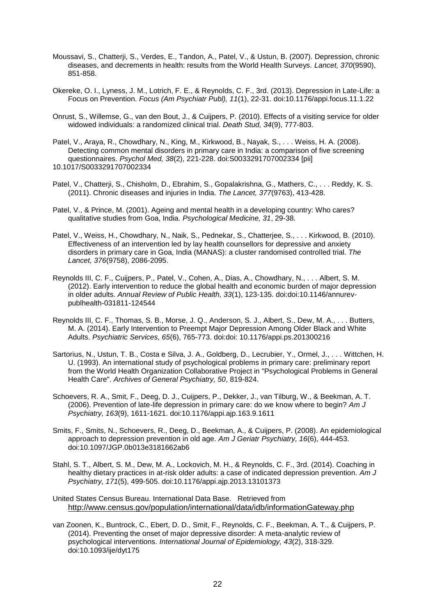- Moussavi, S., Chatterji, S., Verdes, E., Tandon, A., Patel, V., & Ustun, B. (2007). Depression, chronic diseases, and decrements in health: results from the World Health Surveys. *Lancet, 370*(9590), 851-858.
- Okereke, O. I., Lyness, J. M., Lotrich, F. E., & Reynolds, C. F., 3rd. (2013). Depression in Late-Life: a Focus on Prevention. *Focus (Am Psychiatr Publ), 11*(1), 22-31. doi:10.1176/appi.focus.11.1.22
- Onrust, S., Willemse, G., van den Bout, J., & Cuijpers, P. (2010). Effects of a visiting service for older widowed individuals: a randomized clinical trial. *Death Stud, 34*(9), 777-803.
- Patel, V., Araya, R., Chowdhary, N., King, M., Kirkwood, B., Nayak, S., . . . Weiss, H. A. (2008). Detecting common mental disorders in primary care in India: a comparison of five screening questionnaires. *Psychol Med, 38*(2), 221-228. doi:S0033291707002334 [pii] 10.1017/S0033291707002334
- Patel, V., Chatterji, S., Chisholm, D., Ebrahim, S., Gopalakrishna, G., Mathers, C., . . . Reddy, K. S. (2011). Chronic diseases and injuries in India. *The Lancet, 377*(9763), 413-428.
- Patel, V., & Prince, M. (2001). Ageing and mental health in a developing country: Who cares? qualitative studies from Goa, India. *Psychological Medicine, 31*, 29-38.
- Patel, V., Weiss, H., Chowdhary, N., Naik, S., Pednekar, S., Chatterjee, S., . . . Kirkwood, B. (2010). Effectiveness of an intervention led by lay health counsellors for depressive and anxiety disorders in primary care in Goa, India (MANAS): a cluster randomised controlled trial. *The Lancet, 376*(9758), 2086-2095.
- Reynolds III, C. F., Cuijpers, P., Patel, V., Cohen, A., Dias, A., Chowdhary, N., . . . Albert, S. M. (2012). Early intervention to reduce the global health and economic burden of major depression in older adults. *Annual Review of Public Health, 33*(1), 123-135. doi:doi:10.1146/annurevpublhealth-031811-124544
- Reynolds III, C. F., Thomas, S. B., Morse, J. Q., Anderson, S. J., Albert, S., Dew, M. A., . . . Butters, M. A. (2014). Early Intervention to Preempt Major Depression Among Older Black and White Adults. *Psychiatric Services, 65*(6), 765-773. doi:doi: 10.1176/appi.ps.201300216
- Sartorius, N., Ustun, T. B., Costa e Silva, J. A., Goldberg, D., Lecrubier, Y., Ormel, J., . . . Wittchen, H. U. (1993). An international study of psychological problems in primary care: preliminary report from the World Health Organization Collaborative Project in "Psychological Problems in General Health Care". *Archives of General Psychiatry, 50*, 819-824.
- Schoevers, R. A., Smit, F., Deeg, D. J., Cuijpers, P., Dekker, J., van Tilburg, W., & Beekman, A. T. (2006). Prevention of late-life depression in primary care: do we know where to begin? *Am J Psychiatry, 163*(9), 1611-1621. doi:10.1176/appi.ajp.163.9.1611
- Smits, F., Smits, N., Schoevers, R., Deeg, D., Beekman, A., & Cuijpers, P. (2008). An epidemiological approach to depression prevention in old age. *Am J Geriatr Psychiatry, 16*(6), 444-453. doi:10.1097/JGP.0b013e3181662ab6
- Stahl, S. T., Albert, S. M., Dew, M. A., Lockovich, M. H., & Reynolds, C. F., 3rd. (2014). Coaching in healthy dietary practices in at-risk older adults: a case of indicated depression prevention. *Am J Psychiatry, 171*(5), 499-505. doi:10.1176/appi.ajp.2013.13101373
- United States Census Bureau. International Data Base. Retrieved from <http://www.census.gov/population/international/data/idb/informationGateway.php>
- van Zoonen, K., Buntrock, C., Ebert, D. D., Smit, F., Reynolds, C. F., Beekman, A. T., & Cuijpers, P. (2014). Preventing the onset of major depressive disorder: A meta-analytic review of psychological interventions. *International Journal of Epidemiology, 43*(2), 318-329. doi:10.1093/ije/dyt175